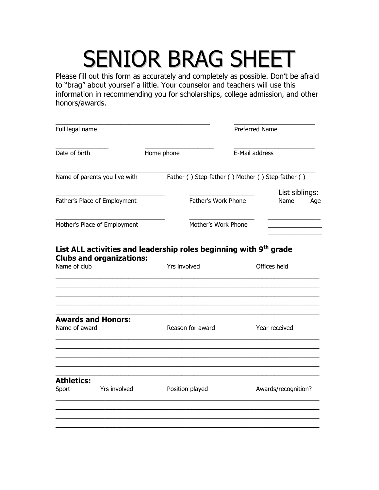## SENIOR BRAG SHEET

Please fill out this form as accurately and completely as possible. Don't be afraid to "brag" about yourself a little. Your counselor and teachers will use this information in recommending you for scholarships, college admission, and other honors/awards.

| Full legal name                            |                                                                                                                  |                                                   | <b>Preferred Name</b> |                               |  |
|--------------------------------------------|------------------------------------------------------------------------------------------------------------------|---------------------------------------------------|-----------------------|-------------------------------|--|
| Date of birth                              |                                                                                                                  | Home phone                                        |                       | E-Mail address                |  |
| Name of parents you live with              |                                                                                                                  | Father () Step-father () Mother () Step-father () |                       |                               |  |
| Father's Place of Employment               |                                                                                                                  |                                                   | Father's Work Phone   | List siblings:<br>Name<br>Age |  |
| Mother's Place of Employment               |                                                                                                                  |                                                   | Mother's Work Phone   |                               |  |
| Name of club                               | List ALL activities and leadership roles beginning with 9 <sup>th</sup> grade<br><b>Clubs and organizations:</b> | Yrs involved                                      |                       | Offices held                  |  |
| <b>Awards and Honors:</b><br>Name of award |                                                                                                                  | Reason for award                                  |                       | Year received                 |  |
| <b>Athletics:</b><br>Sport                 | Yrs involved                                                                                                     | Position played                                   |                       | Awards/recognition?           |  |
|                                            |                                                                                                                  |                                                   |                       |                               |  |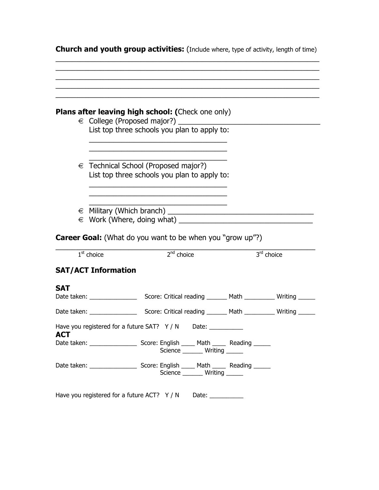|                          |                                            | <b>Plans after leaving high school: (Check one only)</b>                                      |              |
|--------------------------|--------------------------------------------|-----------------------------------------------------------------------------------------------|--------------|
|                          |                                            | € College (Proposed major?) _______________<br>List top three schools you plan to apply to:   |              |
|                          |                                            | $\epsilon$ Technical School (Proposed major?)<br>List top three schools you plan to apply to: |              |
|                          |                                            |                                                                                               |              |
|                          |                                            |                                                                                               |              |
|                          |                                            | <b>Career Goal:</b> (What do you want to be when you "grow up"?)                              |              |
|                          | $1st$ choice<br><b>SAT/ACT Information</b> | 2 <sup>nd</sup> choice                                                                        | $3rd$ choice |
|                          |                                            |                                                                                               |              |
|                          |                                            |                                                                                               |              |
|                          |                                            | Have you registered for a future SAT? Y / N Date: _________                                   |              |
| <b>SAT</b><br><b>ACT</b> |                                            | Science ________ Writing ______                                                               |              |